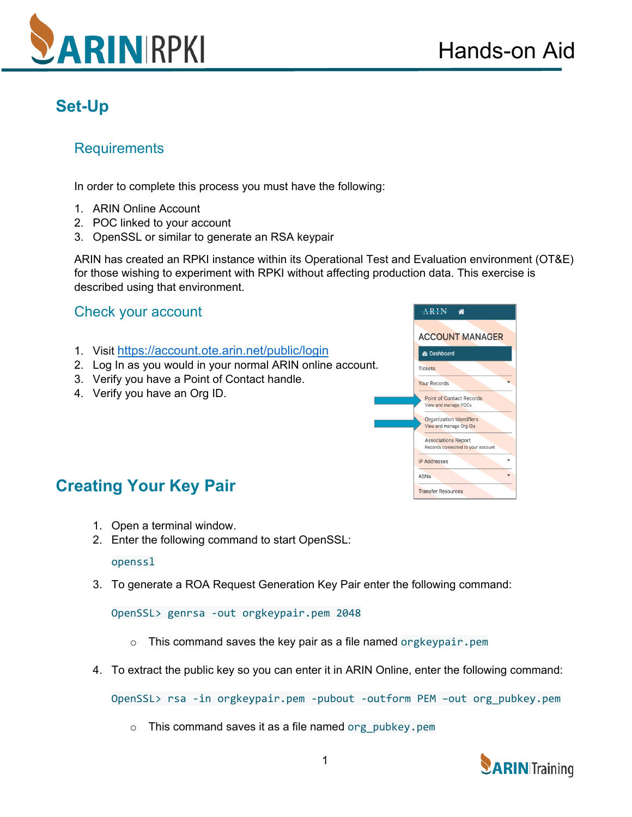

# **Set-Up**

### **Requirements**

In order to complete this process you must have the following:

- 1. ARIN Online Account
- 2. POC linked to your account
- 3. OpenSSL or similar to generate an RSA keypair

ARIN has created an RPKI instance within its Operational Test and Evaluation environment (OT&E) for those wishing to experiment with RPKI without affecting production data. This exercise is described using that environment.

### Check your account

- 1. Visit<https://account.ote.arin.net/public/login>
- 2. Log In as you would in your normal ARIN online account.
- 3. Verify you have a Point of Contact handle.
- 4. Verify you have an Org ID.



## **Creating Your Key Pair**

- 1. Open a terminal window.
- 2. Enter the following command to start OpenSSL:

#### openssl

3. To generate a ROA Request Generation Key Pair enter the following command:

OpenSSL> genrsa -out orgkeypair.pem 2048

- $\circ$  This command saves the key pair as a file named orgkeypair.pem
- 4. To extract the public key so you can enter it in ARIN Online, enter the following command:

OpenSSL> rsa -in orgkeypair.pem -pubout -outform PEM –out org\_pubkey.pem

 $\circ$  This command saves it as a file named org pubkey.pem

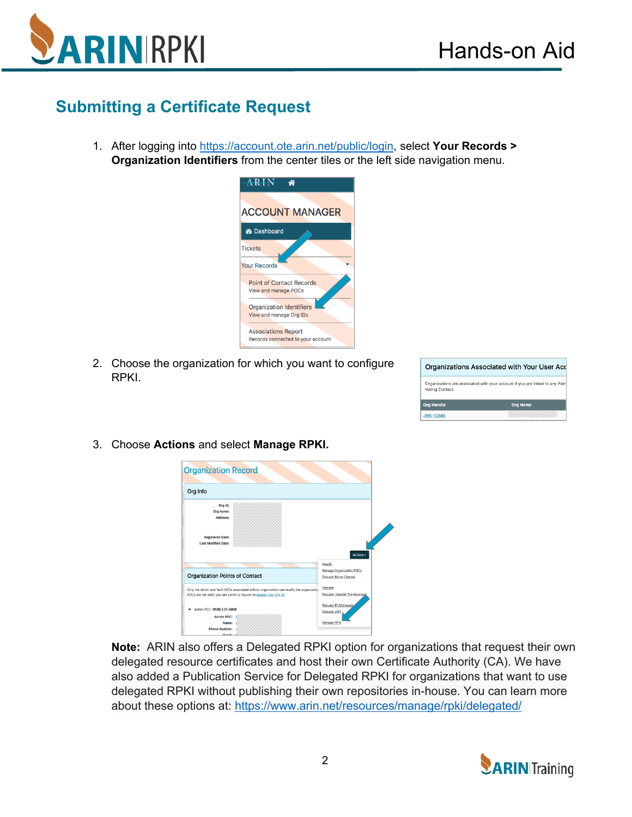

## **Submitting a Certificate Request**

1. After logging into [https://account.ote.arin.net/public/login,](https://account.ote.arin.net/public/login) select **Your Records > Organization Identifiers** from the center tiles or the left side navigation menu.



2. Choose the organization for which you want to configure RPKI.

|                   | Organizations Associated with Your User Acd                                  |
|-------------------|------------------------------------------------------------------------------|
| Voting Contact.   | Organizations are associated with your account if you are linked to any Poin |
| <b>Org Handle</b> | <b>Org Name</b>                                                              |
| <b>JWE-12345</b>  |                                                                              |
|                   |                                                                              |

3. Choose **Actions** and select **Manage RPKI.**



**Note:** ARIN also offers a Delegated RPKI option for organizations that request their own delegated resource certificates and host their own Certificate Authority (CA). We have also added a Publication Service for Delegated RPKI for organizations that want to use delegated RPKI without publishing their own repositories in-house. You can learn more about these options at: <https://www.arin.net/resources/manage/rpki/delegated/>

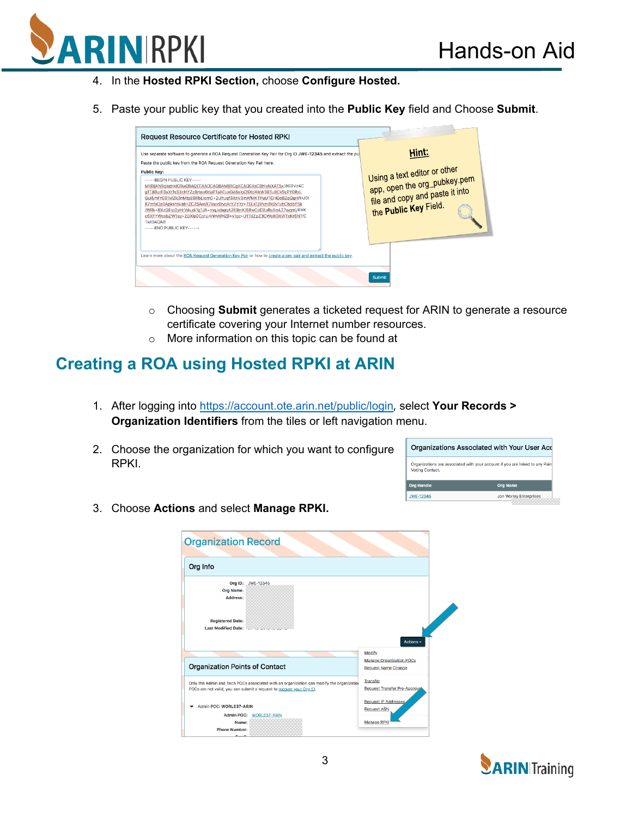

- 4. In the **Hosted RPKI Section,** choose **Configure Hosted.**
- 5. Paste your public key that you created into the **Public Key** field and Choose **Submit**.



- o Choosing **Submit** generates a ticketed request for ARIN to generate a resource certificate covering your Internet number resources.
- o More information on this topic can be found at

### **Creating a ROA using Hosted RPKI at ARIN**

- 1. After logging into<https://account.ote.arin.net/public/login>, select **Your Records > Organization Identifiers** from the tiles or left navigation menu.
- 2. Choose the organization for which you want to configure RPKI.



3. Choose **Actions** and select **Manage RPKI.**

| <b>Organization Record</b>                            |                                                                                                                                                                  |                                                                  |
|-------------------------------------------------------|------------------------------------------------------------------------------------------------------------------------------------------------------------------|------------------------------------------------------------------|
| Org Info                                              |                                                                                                                                                                  |                                                                  |
| <b>Org Name:</b><br><b>Address:</b>                   | Org ID: JWE-12345                                                                                                                                                |                                                                  |
| <b>Registered Date:</b><br><b>Last Modified Date:</b> |                                                                                                                                                                  | Actions -                                                        |
| <b>Organization Points of Contact</b>                 |                                                                                                                                                                  | Modify<br>Manage Organization POCs<br><b>Request Name Change</b> |
|                                                       | Only the Admin and Tech POCs associated with an organization can modify the organization<br>POCs are not valid, you can submit a request to recover your Org ID. | Transfer<br>Request Transfer Pre-Approval                        |
| Admin POC: WORLE37-ARIN                               | Admin POC: WORLE37-ARIN                                                                                                                                          | Request IP Addresses.<br><b>Request ASN</b>                      |
| Name:<br><b>Phone Number:</b><br>Emails               |                                                                                                                                                                  | <b>Manage RPKI</b>                                               |

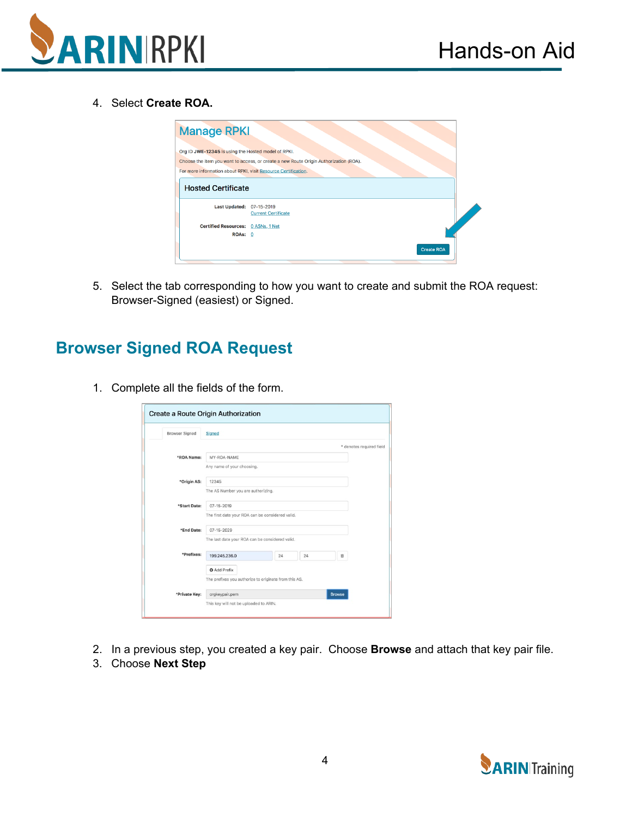

4. Select **Create ROA.**

| <b>Manage RPKI</b>                                             |                                                                                       |  |
|----------------------------------------------------------------|---------------------------------------------------------------------------------------|--|
| Org ID JWE-12345 is using the Hosted model of RPKI.            |                                                                                       |  |
|                                                                | Choose the item you want to access, or create a new Route Origin Authorization (ROA). |  |
| For more information about RPKI, visit Resource Certification. |                                                                                       |  |
| <b>Hosted Certificate</b>                                      | 07-15-2019                                                                            |  |
| <b>Last Updated:</b>                                           | <b>Current Certificate</b>                                                            |  |
| Certified Resources: 0 ASNs, 1 Net                             |                                                                                       |  |
| ROAs: 0                                                        |                                                                                       |  |
|                                                                | <b>Create ROA</b>                                                                     |  |

5. Select the tab corresponding to how you want to create and submit the ROA request: Browser-Signed (easiest) or Signed.

## **Browser Signed ROA Request**

1. Complete all the fields of the form.

| <b>Browser Signed</b> | Signed                                                |    |    |               |                          |
|-----------------------|-------------------------------------------------------|----|----|---------------|--------------------------|
|                       |                                                       |    |    |               | * denotes required field |
| *ROA Name:            | MY-ROA-NAME                                           |    |    |               |                          |
|                       | Any name of your choosing.                            |    |    |               |                          |
| *Origin AS:           | 12345                                                 |    |    |               |                          |
|                       | The AS Number you are authorizing.                    |    |    |               |                          |
| *Start Date:          | 07-15-2019                                            |    |    |               |                          |
|                       | The first date your ROA can be considered valid.      |    |    |               |                          |
| *End Date:            | $07 - 15 - 2029$                                      |    |    |               |                          |
|                       | The last date your ROA can be considered valid.       |    |    |               |                          |
| *Prefixes:            | 199,245,236.0                                         | 24 | 24 | 自             |                          |
|                       | <b>O</b> Add Prefix                                   |    |    |               |                          |
|                       | The prefixes you authorize to originate from this AS. |    |    |               |                          |
| *Private Key:         | orgkeypair.pem                                        |    |    | <b>Browse</b> |                          |

- 2. In a previous step, you created a key pair. Choose **Browse** and attach that key pair file.
- 3. Choose **Next Step**